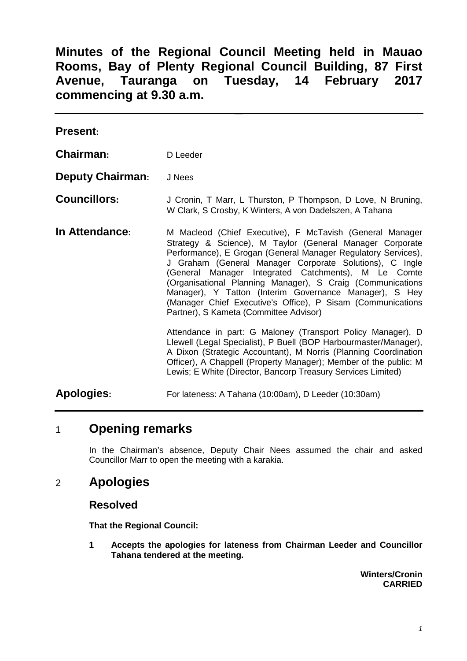# **Minutes of the Regional Council Meeting held in Mauao Rooms, Bay of Plenty Regional Council Building, 87 First Avenue, Tauranga on Tuesday, 14 February 2017 commencing at 9.30 a.m.**

| <b>Present:</b>         |                                                                                                                                                                                                                                                                                                                                                                                                                                                                                                                                          |
|-------------------------|------------------------------------------------------------------------------------------------------------------------------------------------------------------------------------------------------------------------------------------------------------------------------------------------------------------------------------------------------------------------------------------------------------------------------------------------------------------------------------------------------------------------------------------|
| Chairman:               | D Leeder                                                                                                                                                                                                                                                                                                                                                                                                                                                                                                                                 |
| <b>Deputy Chairman:</b> | J Nees                                                                                                                                                                                                                                                                                                                                                                                                                                                                                                                                   |
| <b>Councillors:</b>     | J Cronin, T Marr, L Thurston, P Thompson, D Love, N Bruning,<br>W Clark, S Crosby, K Winters, A von Dadelszen, A Tahana                                                                                                                                                                                                                                                                                                                                                                                                                  |
| In Attendance:          | M Macleod (Chief Executive), F McTavish (General Manager<br>Strategy & Science), M Taylor (General Manager Corporate<br>Performance), E Grogan (General Manager Regulatory Services),<br>J Graham (General Manager Corporate Solutions), C Ingle<br>(General Manager Integrated Catchments), M Le Comte<br>(Organisational Planning Manager), S Craig (Communications<br>Manager), Y Tatton (Interim Governance Manager), S Hey<br>(Manager Chief Executive's Office), P Sisam (Communications<br>Partner), S Kameta (Committee Advisor) |
|                         | Attendance in part: G Maloney (Transport Policy Manager), D<br>Llewell (Legal Specialist), P Buell (BOP Harbourmaster/Manager),<br>A Dixon (Strategic Accountant), M Norris (Planning Coordination<br>Officer), A Chappell (Property Manager); Member of the public: M<br>Lewis; E White (Director, Bancorp Treasury Services Limited)                                                                                                                                                                                                   |
| <b>Apologies:</b>       | For lateness: A Tahana (10:00am), D Leeder (10:30am)                                                                                                                                                                                                                                                                                                                                                                                                                                                                                     |

# 1 **Opening remarks**

In the Chairman's absence, Deputy Chair Nees assumed the chair and asked Councillor Marr to open the meeting with a karakia.

# 2 **Apologies**

#### **Resolved**

**That the Regional Council:**

**1 Accepts the apologies for lateness from Chairman Leeder and Councillor Tahana tendered at the meeting.**

> **Winters/Cronin CARRIED**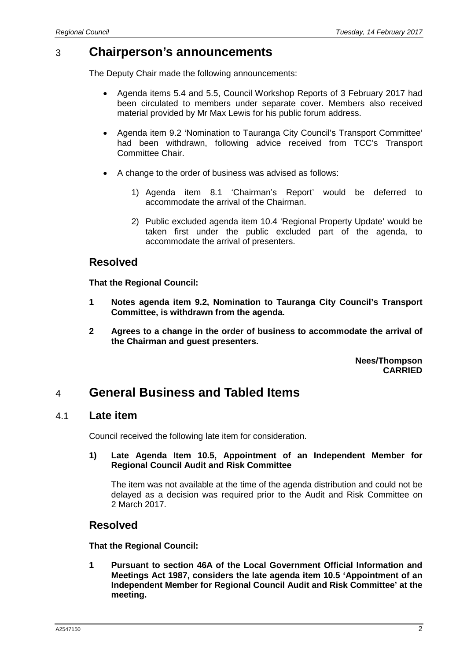# 3 **Chairperson's announcements**

The Deputy Chair made the following announcements:

- Agenda items 5.4 and 5.5, Council Workshop Reports of 3 February 2017 had been circulated to members under separate cover. Members also received material provided by Mr Max Lewis for his public forum address.
- Agenda item 9.2 'Nomination to Tauranga City Council's Transport Committee' had been withdrawn, following advice received from TCC's Transport Committee Chair.
- A change to the order of business was advised as follows:
	- 1) Agenda item 8.1 'Chairman's Report' would be deferred to accommodate the arrival of the Chairman.
	- 2) Public excluded agenda item 10.4 'Regional Property Update' would be taken first under the public excluded part of the agenda, to accommodate the arrival of presenters.

### **Resolved**

**That the Regional Council:**

- **1 Notes agenda item 9.2, Nomination to Tauranga City Council's Transport Committee, is withdrawn from the agenda.**
- **2 Agrees to a change in the order of business to accommodate the arrival of the Chairman and guest presenters.**

**Nees/Thompson CARRIED**

# 4 **General Business and Tabled Items**

#### 4.1 **Late item**

Council received the following late item for consideration.

#### **1) Late Agenda Item 10.5, Appointment of an Independent Member for Regional Council Audit and Risk Committee**

The item was not available at the time of the agenda distribution and could not be delayed as a decision was required prior to the Audit and Risk Committee on 2 March 2017.

#### **Resolved**

**That the Regional Council:**

**1 Pursuant to section 46A of the Local Government Official Information and Meetings Act 1987, considers the late agenda item 10.5 'Appointment of an Independent Member for Regional Council Audit and Risk Committee' at the meeting.**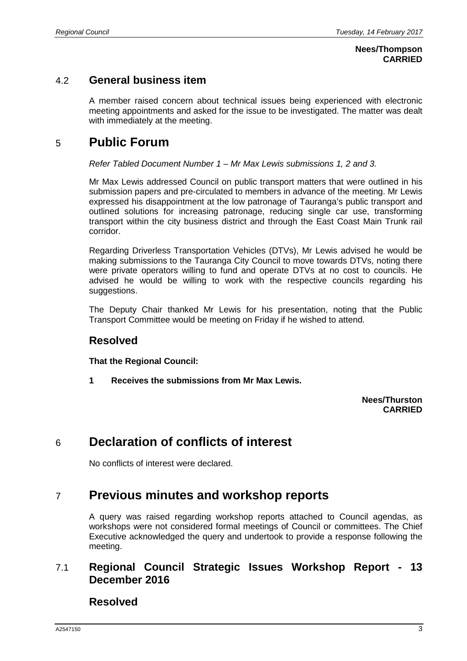#### **Nees/Thompson CARRIED**

### 4.2 **General business item**

A member raised concern about technical issues being experienced with electronic meeting appointments and asked for the issue to be investigated. The matter was dealt with immediately at the meeting.

## 5 **Public Forum**

#### *Refer Tabled Document Number 1 – Mr Max Lewis submissions 1, 2 and 3.*

Mr Max Lewis addressed Council on public transport matters that were outlined in his submission papers and pre-circulated to members in advance of the meeting. Mr Lewis expressed his disappointment at the low patronage of Tauranga's public transport and outlined solutions for increasing patronage, reducing single car use, transforming transport within the city business district and through the East Coast Main Trunk rail corridor.

Regarding Driverless Transportation Vehicles (DTVs), Mr Lewis advised he would be making submissions to the Tauranga City Council to move towards DTVs, noting there were private operators willing to fund and operate DTVs at no cost to councils. He advised he would be willing to work with the respective councils regarding his suggestions.

The Deputy Chair thanked Mr Lewis for his presentation, noting that the Public Transport Committee would be meeting on Friday if he wished to attend.

#### **Resolved**

**That the Regional Council:**

**1 Receives the submissions from Mr Max Lewis.**

#### **Nees/Thurston CARRIED**

# 6 **Declaration of conflicts of interest**

No conflicts of interest were declared.

# 7 **Previous minutes and workshop reports**

A query was raised regarding workshop reports attached to Council agendas, as workshops were not considered formal meetings of Council or committees. The Chief Executive acknowledged the query and undertook to provide a response following the meeting.

### 7.1 **Regional Council Strategic Issues Workshop Report - 13 December 2016**

**Resolved**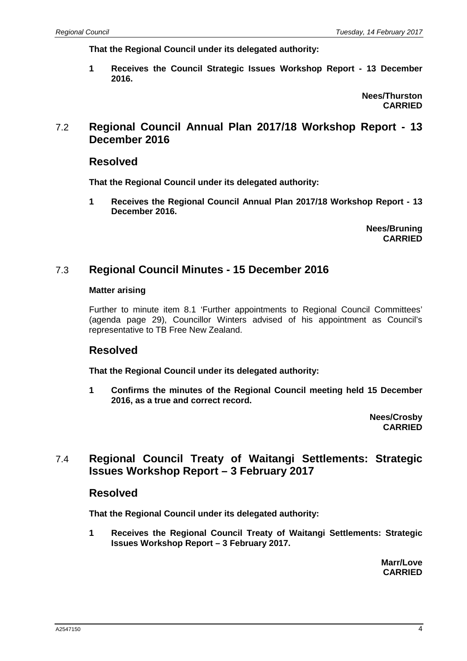**That the Regional Council under its delegated authority:**

**1 Receives the Council Strategic Issues Workshop Report - 13 December 2016.**

> **Nees/Thurston CARRIED**

### 7.2 **Regional Council Annual Plan 2017/18 Workshop Report - 13 December 2016**

#### **Resolved**

**That the Regional Council under its delegated authority:**

**1 Receives the Regional Council Annual Plan 2017/18 Workshop Report - 13 December 2016.**

> **Nees/Bruning CARRIED**

#### 7.3 **Regional Council Minutes - 15 December 2016**

#### **Matter arising**

Further to minute item 8.1 'Further appointments to Regional Council Committees' (agenda page 29), Councillor Winters advised of his appointment as Council's representative to TB Free New Zealand.

#### **Resolved**

**That the Regional Council under its delegated authority:**

**1 Confirms the minutes of the Regional Council meeting held 15 December 2016, as a true and correct record.**

> **Nees/Crosby CARRIED**

### 7.4 **Regional Council Treaty of Waitangi Settlements: Strategic Issues Workshop Report – 3 February 2017**

#### **Resolved**

**That the Regional Council under its delegated authority:**

**1 Receives the Regional Council Treaty of Waitangi Settlements: Strategic Issues Workshop Report – 3 February 2017.**

> **Marr/Love CARRIED**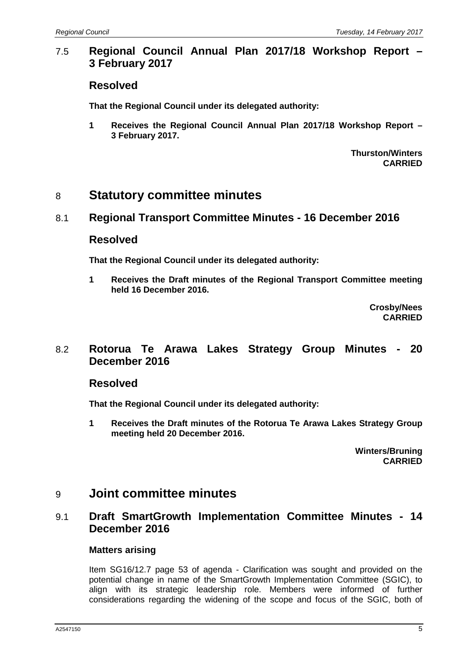### 7.5 **Regional Council Annual Plan 2017/18 Workshop Report – 3 February 2017**

#### **Resolved**

**That the Regional Council under its delegated authority:**

**1 Receives the Regional Council Annual Plan 2017/18 Workshop Report – 3 February 2017.**

> **Thurston/Winters CARRIED**

## 8 **Statutory committee minutes**

#### 8.1 **Regional Transport Committee Minutes - 16 December 2016**

#### **Resolved**

**That the Regional Council under its delegated authority:**

**1 Receives the Draft minutes of the Regional Transport Committee meeting held 16 December 2016.**

> **Crosby/Nees CARRIED**

### 8.2 **Rotorua Te Arawa Lakes Strategy Group Minutes - 20 December 2016**

#### **Resolved**

**That the Regional Council under its delegated authority:**

**1 Receives the Draft minutes of the Rotorua Te Arawa Lakes Strategy Group meeting held 20 December 2016.**

> **Winters/Bruning CARRIED**

## 9 **Joint committee minutes**

### 9.1 **Draft SmartGrowth Implementation Committee Minutes - 14 December 2016**

#### **Matters arising**

Item SG16/12.7 page 53 of agenda - Clarification was sought and provided on the potential change in name of the SmartGrowth Implementation Committee (SGIC), to align with its strategic leadership role. Members were informed of further considerations regarding the widening of the scope and focus of the SGIC, both of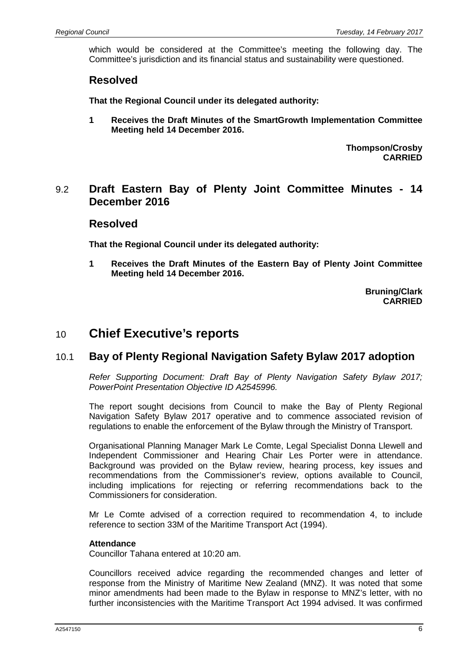which would be considered at the Committee's meeting the following day. The Committee's jurisdiction and its financial status and sustainability were questioned.

#### **Resolved**

**That the Regional Council under its delegated authority:**

**1 Receives the Draft Minutes of the SmartGrowth Implementation Committee Meeting held 14 December 2016.**

> **Thompson/Crosby CARRIED**

#### 9.2 **Draft Eastern Bay of Plenty Joint Committee Minutes - 14 December 2016**

#### **Resolved**

**That the Regional Council under its delegated authority:**

**1 Receives the Draft Minutes of the Eastern Bay of Plenty Joint Committee Meeting held 14 December 2016.**

> **Bruning/Clark CARRIED**

## 10 **Chief Executive's reports**

#### 10.1 **Bay of Plenty Regional Navigation Safety Bylaw 2017 adoption**

*Refer Supporting Document: Draft Bay of Plenty Navigation Safety Bylaw 2017; PowerPoint Presentation Objective ID A2545996.*

The report sought decisions from Council to make the Bay of Plenty Regional Navigation Safety Bylaw 2017 operative and to commence associated revision of regulations to enable the enforcement of the Bylaw through the Ministry of Transport.

Organisational Planning Manager Mark Le Comte, Legal Specialist Donna Llewell and Independent Commissioner and Hearing Chair Les Porter were in attendance. Background was provided on the Bylaw review, hearing process, key issues and recommendations from the Commissioner's review, options available to Council, including implications for rejecting or referring recommendations back to the Commissioners for consideration.

Mr Le Comte advised of a correction required to recommendation 4, to include reference to section 33M of the Maritime Transport Act (1994).

#### **Attendance**

Councillor Tahana entered at 10:20 am.

Councillors received advice regarding the recommended changes and letter of response from the Ministry of Maritime New Zealand (MNZ). It was noted that some minor amendments had been made to the Bylaw in response to MNZ's letter, with no further inconsistencies with the Maritime Transport Act 1994 advised. It was confirmed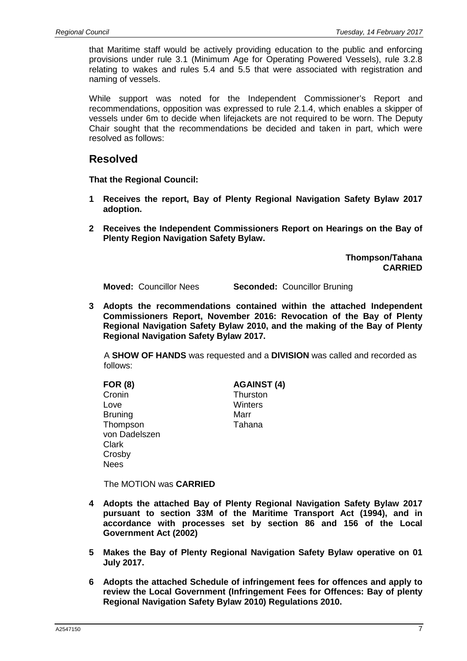that Maritime staff would be actively providing education to the public and enforcing provisions under rule 3.1 (Minimum Age for Operating Powered Vessels), rule 3.2.8 relating to wakes and rules 5.4 and 5.5 that were associated with registration and naming of vessels.

While support was noted for the Independent Commissioner's Report and recommendations, opposition was expressed to rule 2.1.4, which enables a skipper of vessels under 6m to decide when lifejackets are not required to be worn. The Deputy Chair sought that the recommendations be decided and taken in part, which were resolved as follows:

#### **Resolved**

**That the Regional Council:**

- **1 Receives the report, Bay of Plenty Regional Navigation Safety Bylaw 2017 adoption.**
- **2 Receives the Independent Commissioners Report on Hearings on the Bay of Plenty Region Navigation Safety Bylaw.**

**Thompson/Tahana CARRIED**

**Moved:** Councillor Nees **Seconded:** Councillor Bruning

**3 Adopts the recommendations contained within the attached Independent Commissioners Report, November 2016: Revocation of the Bay of Plenty Regional Navigation Safety Bylaw 2010, and the making of the Bay of Plenty Regional Navigation Safety Bylaw 2017.**

A **SHOW OF HANDS** was requested and a **DIVISION** was called and recorded as follows:

| <b>FOR (8)</b> | <b>AGAINST (4)</b> |
|----------------|--------------------|
| Cronin         | Thurston           |
| Love           | Winters            |
| <b>Bruning</b> | Marr               |
| Thompson       | Tahana             |
| von Dadelszen  |                    |
| Clark          |                    |
| Crosby         |                    |

The MOTION was **CARRIED**

Nees

- **4 Adopts the attached Bay of Plenty Regional Navigation Safety Bylaw 2017 pursuant to section 33M of the Maritime Transport Act (1994), and in accordance with processes set by section 86 and 156 of the Local Government Act (2002)**
- **5 Makes the Bay of Plenty Regional Navigation Safety Bylaw operative on 01 July 2017.**
- **6 Adopts the attached Schedule of infringement fees for offences and apply to review the Local Government (Infringement Fees for Offences: Bay of plenty Regional Navigation Safety Bylaw 2010) Regulations 2010.**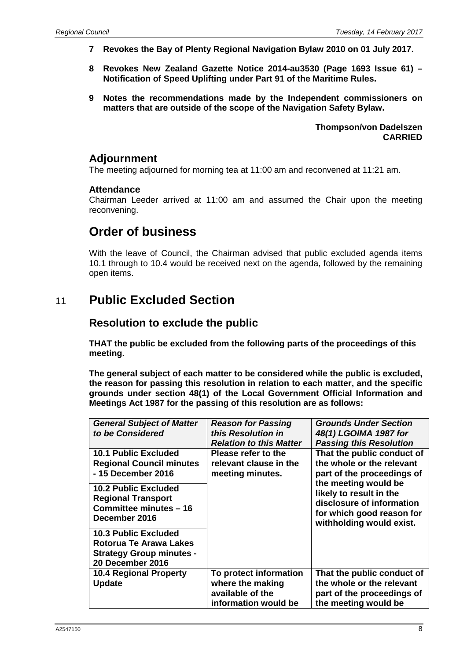- **7 Revokes the Bay of Plenty Regional Navigation Bylaw 2010 on 01 July 2017.**
- **8 Revokes New Zealand Gazette Notice 2014-au3530 (Page 1693 Issue 61) – Notification of Speed Uplifting under Part 91 of the Maritime Rules.**
- **9 Notes the recommendations made by the Independent commissioners on matters that are outside of the scope of the Navigation Safety Bylaw.**

**Thompson/von Dadelszen CARRIED**

#### **Adjournment**

The meeting adjourned for morning tea at 11:00 am and reconvened at 11:21 am.

#### **Attendance**

Chairman Leeder arrived at 11:00 am and assumed the Chair upon the meeting reconvening.

# **Order of business**

With the leave of Council, the Chairman advised that public excluded agenda items 10.1 through to 10.4 would be received next on the agenda, followed by the remaining open items.

# 11 **Public Excluded Section**

### **Resolution to exclude the public**

**THAT the public be excluded from the following parts of the proceedings of this meeting.**

**The general subject of each matter to be considered while the public is excluded, the reason for passing this resolution in relation to each matter, and the specific grounds under section 48(1) of the Local Government Official Information and Meetings Act 1987 for the passing of this resolution are as follows:**

| <b>General Subject of Matter</b><br>to be Considered                                                         | <b>Reason for Passing</b><br>this Resolution in<br><b>Relation to this Matter</b>      | <b>Grounds Under Section</b><br>48(1) LGOIMA 1987 for<br><b>Passing this Resolution</b>                                               |
|--------------------------------------------------------------------------------------------------------------|----------------------------------------------------------------------------------------|---------------------------------------------------------------------------------------------------------------------------------------|
| <b>10.1 Public Excluded</b><br><b>Regional Council minutes</b><br>- 15 December 2016                         | Please refer to the<br>relevant clause in the<br>meeting minutes.                      | That the public conduct of<br>the whole or the relevant<br>part of the proceedings of                                                 |
| <b>10.2 Public Excluded</b><br><b>Regional Transport</b><br>Committee minutes - 16<br>December 2016          |                                                                                        | the meeting would be<br>likely to result in the<br>disclosure of information<br>for which good reason for<br>withholding would exist. |
| <b>10.3 Public Excluded</b><br>Rotorua Te Arawa Lakes<br><b>Strategy Group minutes -</b><br>20 December 2016 |                                                                                        |                                                                                                                                       |
| <b>10.4 Regional Property</b><br><b>Update</b>                                                               | To protect information<br>where the making<br>available of the<br>information would be | That the public conduct of<br>the whole or the relevant<br>part of the proceedings of<br>the meeting would be                         |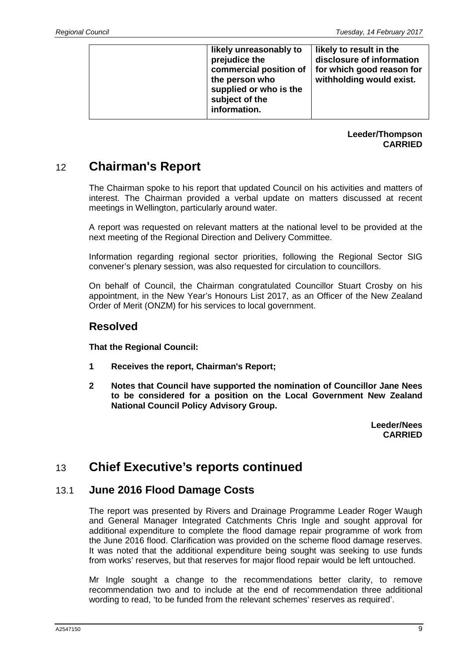|  | likely unreasonably to<br>prejudice the<br>commercial position of<br>the person who<br>supplied or who is the<br>subject of the | likely to result in the<br>disclosure of information<br>for which good reason for<br>withholding would exist. |
|--|---------------------------------------------------------------------------------------------------------------------------------|---------------------------------------------------------------------------------------------------------------|
|  | information.                                                                                                                    |                                                                                                               |

#### **Leeder/Thompson CARRIED**

# 12 **Chairman's Report**

The Chairman spoke to his report that updated Council on his activities and matters of interest. The Chairman provided a verbal update on matters discussed at recent meetings in Wellington, particularly around water.

A report was requested on relevant matters at the national level to be provided at the next meeting of the Regional Direction and Delivery Committee.

Information regarding regional sector priorities, following the Regional Sector SIG convener's plenary session, was also requested for circulation to councillors.

On behalf of Council, the Chairman congratulated Councillor Stuart Crosby on his appointment, in the New Year's Honours List 2017, as an Officer of the New Zealand Order of Merit (ONZM) for his services to local government.

### **Resolved**

**That the Regional Council:**

- **1 Receives the report, Chairman's Report;**
- **2 Notes that Council have supported the nomination of Councillor Jane Nees to be considered for a position on the Local Government New Zealand National Council Policy Advisory Group.**

**Leeder/Nees CARRIED**

# 13 **Chief Executive's reports continued**

### 13.1 **June 2016 Flood Damage Costs**

The report was presented by Rivers and Drainage Programme Leader Roger Waugh and General Manager Integrated Catchments Chris Ingle and sought approval for additional expenditure to complete the flood damage repair programme of work from the June 2016 flood. Clarification was provided on the scheme flood damage reserves. It was noted that the additional expenditure being sought was seeking to use funds from works' reserves, but that reserves for major flood repair would be left untouched.

Mr Ingle sought a change to the recommendations better clarity, to remove recommendation two and to include at the end of recommendation three additional wording to read, 'to be funded from the relevant schemes' reserves as required'.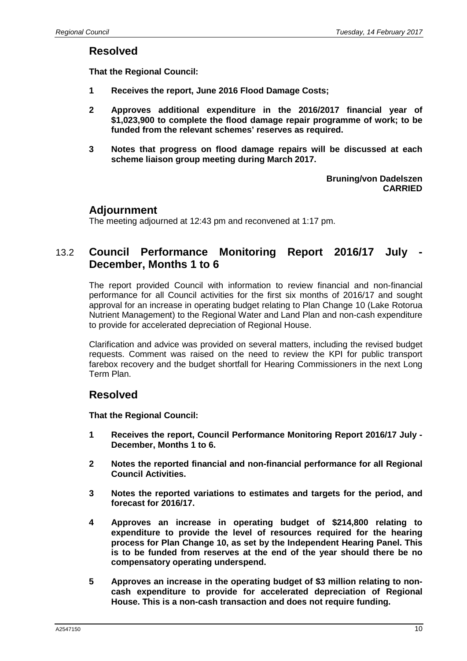#### **Resolved**

**That the Regional Council:**

- **1 Receives the report, June 2016 Flood Damage Costs;**
- **2 Approves additional expenditure in the 2016/2017 financial year of \$1,023,900 to complete the flood damage repair programme of work; to be funded from the relevant schemes' reserves as required.**
- **3 Notes that progress on flood damage repairs will be discussed at each scheme liaison group meeting during March 2017.**

**Bruning/von Dadelszen CARRIED**

#### **Adjournment**

The meeting adjourned at 12:43 pm and reconvened at 1:17 pm.

### 13.2 **Council Performance Monitoring Report 2016/17 July - December, Months 1 to 6**

The report provided Council with information to review financial and non-financial performance for all Council activities for the first six months of 2016/17 and sought approval for an increase in operating budget relating to Plan Change 10 (Lake Rotorua Nutrient Management) to the Regional Water and Land Plan and non-cash expenditure to provide for accelerated depreciation of Regional House.

Clarification and advice was provided on several matters, including the revised budget requests. Comment was raised on the need to review the KPI for public transport farebox recovery and the budget shortfall for Hearing Commissioners in the next Long Term Plan.

### **Resolved**

**That the Regional Council:**

- **1 Receives the report, Council Performance Monitoring Report 2016/17 July - December, Months 1 to 6.**
- **2 Notes the reported financial and non-financial performance for all Regional Council Activities.**
- **3 Notes the reported variations to estimates and targets for the period, and forecast for 2016/17.**
- **4 Approves an increase in operating budget of \$214,800 relating to expenditure to provide the level of resources required for the hearing process for Plan Change 10, as set by the Independent Hearing Panel. This is to be funded from reserves at the end of the year should there be no compensatory operating underspend.**
- **5 Approves an increase in the operating budget of \$3 million relating to noncash expenditure to provide for accelerated depreciation of Regional House. This is a non-cash transaction and does not require funding.**